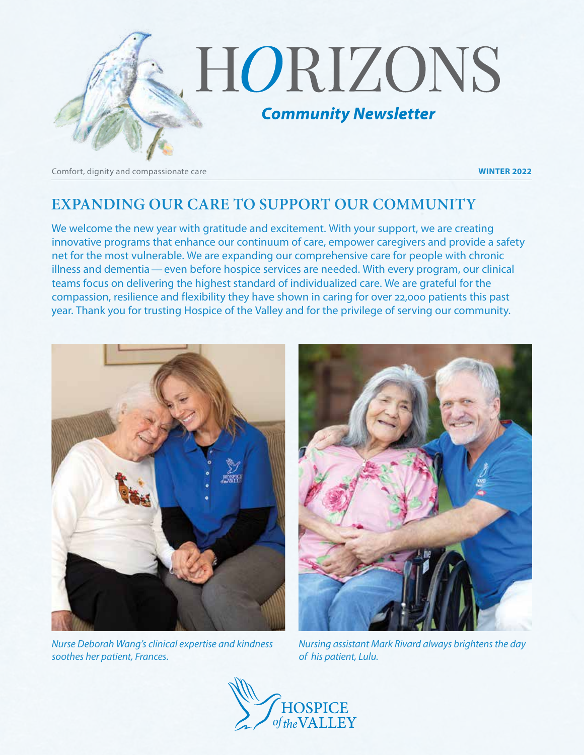

Comfort, dignity and compassionate care **WINTER 2022**

# **EXPANDING OUR CARE TO SUPPORT OUR COMMUNITY**

We welcome the new year with gratitude and excitement. With your support, we are creating innovative programs that enhance our continuum of care, empower caregivers and provide a safety net for the most vulnerable. We are expanding our comprehensive care for people with chronic illness and dementia—even before hospice services are needed. With every program, our clinical teams focus on delivering the highest standard of individualized care. We are grateful for the compassion, resilience and flexibility they have shown in caring for over 22,000 patients this past year. Thank you for trusting Hospice of the Valley and for the privilege of serving our community.



*Nurse Deborah Wang's clinical expertise and kindness soothes her patient, Frances.*



*Nursing assistant Mark Rivard always brightens the day of his patient, Lulu.*

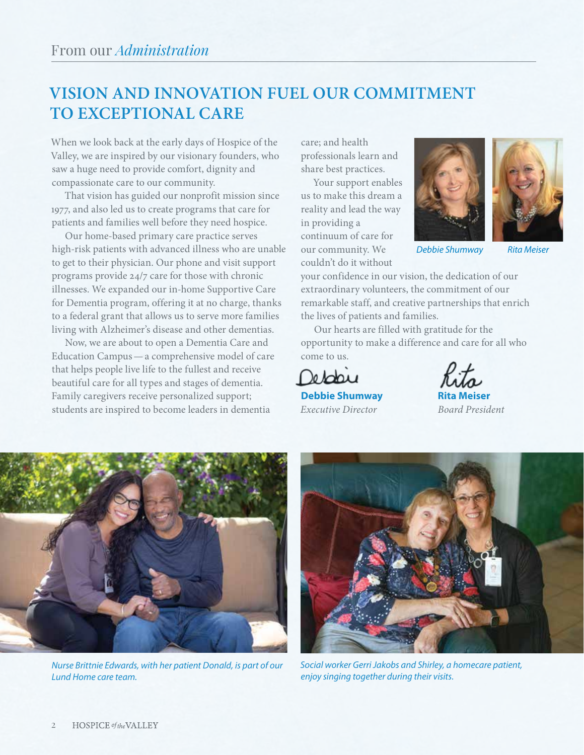# **VISION AND INNOVATION FUEL OUR COMMITMENT TO EXCEPTIONAL CARE**

When we look back at the early days of Hospice of the Valley, we are inspired by our visionary founders, who saw a huge need to provide comfort, dignity and compassionate care to our community.

That vision has guided our nonprofit mission since 1977, and also led us to create programs that care for patients and families well before they need hospice.

Our home-based primary care practice serves high-risk patients with advanced illness who are unable to get to their physician. Our phone and visit support programs provide 24/7 care for those with chronic illnesses. We expanded our in-home Supportive Care for Dementia program, offering it at no charge, thanks to a federal grant that allows us to serve more families living with Alzheimer's disease and other dementias.

Now, we are about to open a Dementia Care and Education Campus—a comprehensive model of care that helps people live life to the fullest and receive beautiful care for all types and stages of dementia. Family caregivers receive personalized support; students are inspired to become leaders in dementia

care; and health professionals learn and share best practices.

Your support enables us to make this dream a reality and lead the way in providing a continuum of care for our community. We couldn't do it without





*Debbie Shumway Rita Meiser*

your confidence in our vision, the dedication of our extraordinary volunteers, the commitment of our remarkable staff, and creative partnerships that enrich the lives of patients and families.

Our hearts are filled with gratitude for the opportunity to make a difference and care for all who come to us.

Depois

**Debbie Shumway** *Executive Director Board President*



*Nurse Brittnie Edwards, with her patient Donald, is part of our Lund Home care team.*



*Social worker Gerri Jakobs and Shirley, a homecare patient, enjoy singing together during their visits.*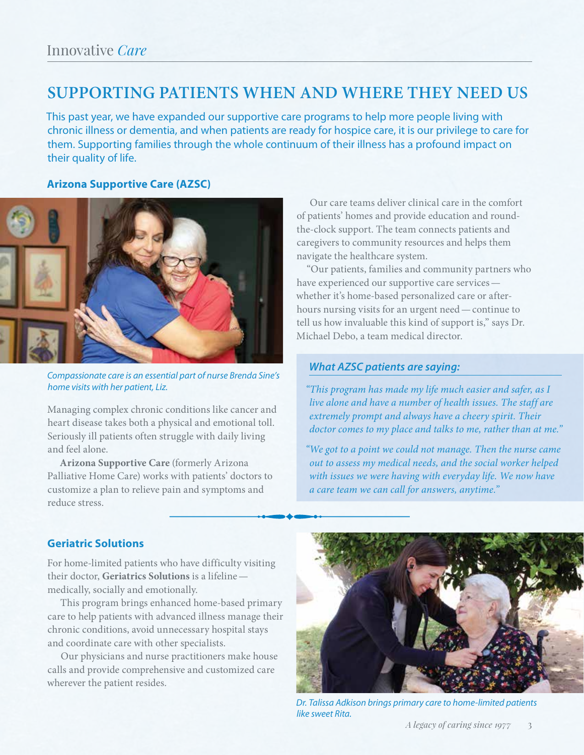# **SUPPORTING PATIENTS WHEN AND WHERE THEY NEED US**

This past year, we have expanded our supportive care programs to help more people living with chronic illness or dementia, and when patients are ready for hospice care, it is our privilege to care for them. Supporting families through the whole continuum of their illness has a profound impact on their quality of life.

#### **Arizona Supportive Care (AZSC)**



*Compassionate care is an essential part of nurse Brenda Sine's home visits with her patient, Liz.*

Managing complex chronic conditions like cancer and heart disease takes both a physical and emotional toll. Seriously ill patients often struggle with daily living and feel alone.

**Arizona Supportive Care** (formerly Arizona Palliative Home Care) works with patients' doctors to customize a plan to relieve pain and symptoms and reduce stress.

Our care teams deliver clinical care in the comfort of patients' homes and provide education and roundthe-clock support. The team connects patients and caregivers to community resources and helps them navigate the healthcare system.

"Our patients, families and community partners who have experienced our supportive care services whether it's home-based personalized care or afterhours nursing visits for an urgent need—continue to tell us how invaluable this kind of support is," says Dr. Michael Debo, a team medical director.

#### *What AZSC patients are saying:*

*"This program has made my life much easier and safer, as I live alone and have a number of health issues. The staff are extremely prompt and always have a cheery spirit. Their doctor comes to my place and talks to me, rather than at me."*

*"We got to a point we could not manage. Then the nurse came out to assess my medical needs, and the social worker helped with issues we were having with everyday life. We now have a care team we can call for answers, anytime."*

#### **Geriatric Solutions**

For home-limited patients who have difficulty visiting their doctor, **Geriatrics Solutions** is a lifeline medically, socially and emotionally.

This program brings enhanced home-based primary care to help patients with advanced illness manage their chronic conditions, avoid unnecessary hospital stays and coordinate care with other specialists.

Our physicians and nurse practitioners make house calls and provide comprehensive and customized care wherever the patient resides.



*Dr. Talissa Adkison brings primary care to home-limited patients like sweet Rita.*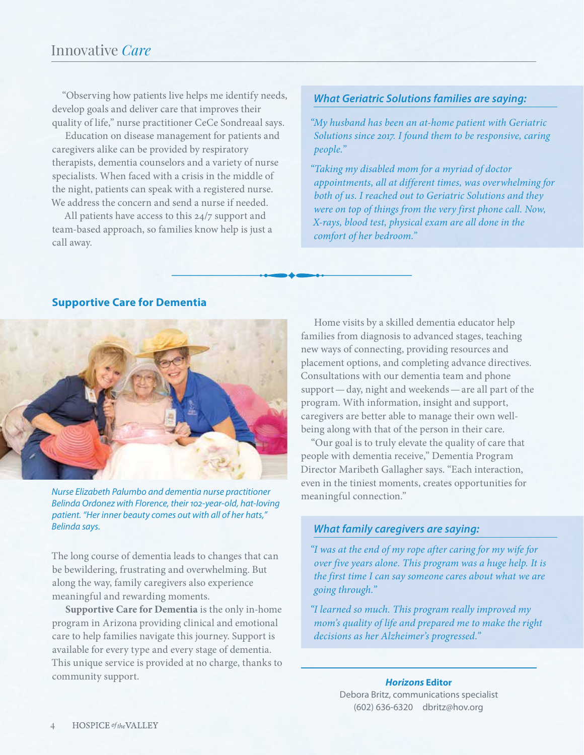## Innovative *Care*

"Observing how patients live helps me identify needs, develop goals and deliver care that improves their quality of life," nurse practitioner CeCe Sondreaal says.

Education on disease management for patients and caregivers alike can be provided by respiratory therapists, dementia counselors and a variety of nurse specialists. When faced with a crisis in the middle of the night, patients can speak with a registered nurse. We address the concern and send a nurse if needed.

All patients have access to this 24/7 support and team-based approach, so families know help is just a call away.

#### *What Geriatric Solutions families are saying:*

*"My husband has been an at-home patient with Geriatric Solutions since 2017. I found them to be responsive, caring people."*

*"Taking my disabled mom for a myriad of doctor appointments, all at different times, was overwhelming for both of us. I reached out to Geriatric Solutions and they were on top of things from the very first phone call. Now, X-rays, blood test, physical exam are all done in the comfort of her bedroom."*

#### **Supportive Care for Dementia**



meaningful connection." *Nurse Elizabeth Palumbo and dementia nurse practitioner Belinda Ordonez with Florence, their 102-year-old, hat-loving patient. "Her inner beauty comes out with all of her hats," Belinda says.*

The long course of dementia leads to changes that can be bewildering, frustrating and overwhelming. But along the way, family caregivers also experience meaningful and rewarding moments.

**Supportive Care for Dementia** is the only in-home program in Arizona providing clinical and emotional care to help families navigate this journey. Support is available for every type and every stage of dementia. This unique service is provided at no charge, thanks to community support.

Home visits by a skilled dementia educator help families from diagnosis to advanced stages, teaching new ways of connecting, providing resources and placement options, and completing advance directives. Consultations with our dementia team and phone support—day, night and weekends—are all part of the program. With information, insight and support, caregivers are better able to manage their own wellbeing along with that of the person in their care.

"Our goal is to truly elevate the quality of care that people with dementia receive," Dementia Program Director Maribeth Gallagher says. "Each interaction, even in the tiniest moments, creates opportunities for

#### *What family caregivers are saying:*

*"I was at the end of my rope after caring for my wife for over five years alone. This program was a huge help. It is the first time I can say someone cares about what we are going through."*

*"I learned so much. This program really improved my mom's quality of life and prepared me to make the right decisions as her Alzheimer's progressed."*

> *Horizons* **Editor** Debora Britz, communications specialist (602) 636-6320 dbritz@hov.org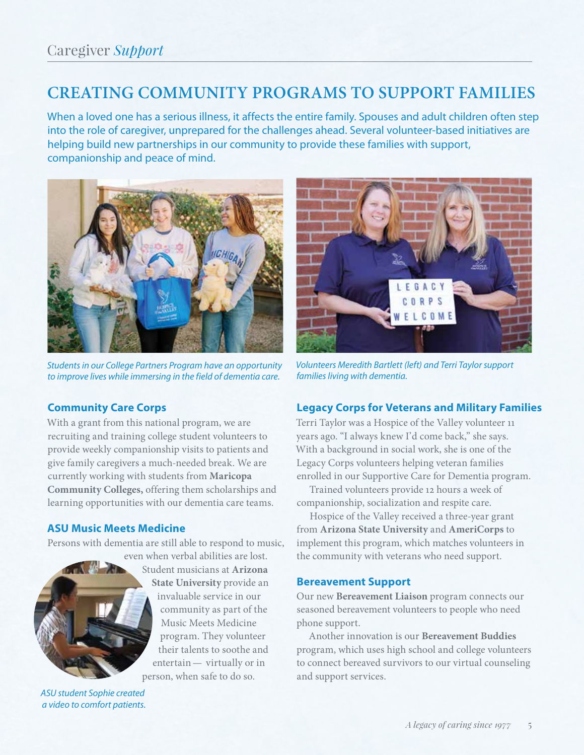# **CREATING COMMUNITY PROGRAMS TO SUPPORT FAMILIES**

When a loved one has a serious illness, it affects the entire family. Spouses and adult children often step into the role of caregiver, unprepared for the challenges ahead. Several volunteer-based initiatives are helping build new partnerships in our community to provide these families with support, companionship and peace of mind.



*Students in our College Partners Program have an opportunity to improve lives while immersing in the field of dementia care.*

### **Community Care Corps**

With a grant from this national program, we are recruiting and training college student volunteers to provide weekly companionship visits to patients and give family caregivers a much-needed break. We are currently working with students from **Maricopa Community Colleges,** offering them scholarships and learning opportunities with our dementia care teams.

### **ASU Music Meets Medicine**

Persons with dementia are still able to respond to music,



even when verbal abilities are lost. Student musicians at **Arizona State University** provide an invaluable service in our community as part of the Music Meets Medicine program. They volunteer their talents to soothe and entertain— virtually or in person, when safe to do so.

*ASU student Sophie created a video to comfort patients.*



*Volunteers Meredith Bartlett (left) and Terri Taylor support families living with dementia.*

## **Legacy Corps for Veterans and Military Families**

Terri Taylor was a Hospice of the Valley volunteer 11 years ago. "I always knew I'd come back," she says. With a background in social work, she is one of the Legacy Corps volunteers helping veteran families enrolled in our Supportive Care for Dementia program.

Trained volunteers provide 12 hours a week of companionship, socialization and respite care.

Hospice of the Valley received a three-year grant from **Arizona State University** and **AmeriCorps** to implement this program, which matches volunteers in the community with veterans who need support.

### **Bereavement Support**

Our new **Bereavement Liaison** program connects our seasoned bereavement volunteers to people who need phone support.

Another innovation is our **Bereavement Buddies**  program, which uses high school and college volunteers to connect bereaved survivors to our virtual counseling and support services.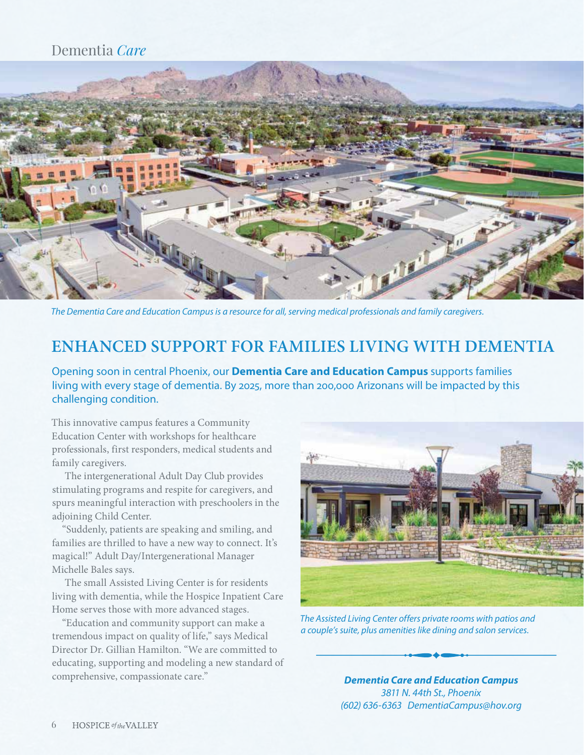## Dementia *Care*



*The Dementia Care and Education Campus is a resource for all, serving medical professionals and family caregivers.*

# **ENHANCED SUPPORT FOR FAMILIES LIVING WITH DEMENTIA**

Opening soon in central Phoenix, our **Dementia Care and Education Campus** supports families living with every stage of dementia. By 2025, more than 200,000 Arizonans will be impacted by this challenging condition.

This innovative campus features a Community Education Center with workshops for healthcare professionals, first responders, medical students and family caregivers.

The intergenerational Adult Day Club provides stimulating programs and respite for caregivers, and spurs meaningful interaction with preschoolers in the adjoining Child Center.

"Suddenly, patients are speaking and smiling, and families are thrilled to have a new way to connect. It's magical!" Adult Day/Intergenerational Manager Michelle Bales says.

The small Assisted Living Center is for residents living with dementia, while the Hospice Inpatient Care Home serves those with more advanced stages.

"Education and community support can make a tremendous impact on quality of life," says Medical Director Dr. Gillian Hamilton. "We are committed to educating, supporting and modeling a new standard of comprehensive, compassionate care."



*The Assisted Living Center offers private rooms with patios and a couple's suite, plus amenities like dining and salon services.*

*Dementia Care and Education Campus 3811 N. 44th St., Phoenix (602) 636-6363 DementiaCampus@hov.org*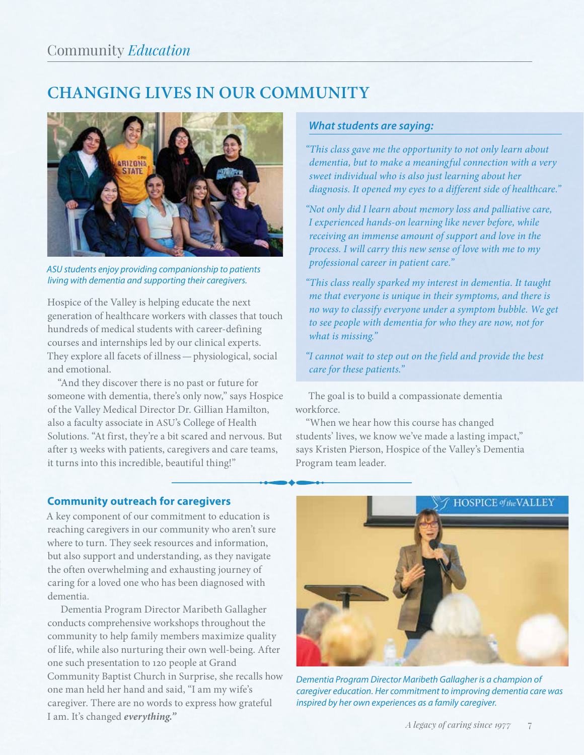# **CHANGING LIVES IN OUR COMMUNITY**



*ASU students enjoy providing companionship to patients living with dementia and supporting their caregivers.*

Hospice of the Valley is helping educate the next generation of healthcare workers with classes that touch hundreds of medical students with career-defining courses and internships led by our clinical experts. They explore all facets of illness—physiological, social and emotional.

"And they discover there is no past or future for someone with dementia, there's only now," says Hospice of the Valley Medical Director Dr. Gillian Hamilton, also a faculty associate in ASU's College of Health Solutions. "At first, they're a bit scared and nervous. But after 13 weeks with patients, caregivers and care teams, it turns into this incredible, beautiful thing!"

### *What students are saying:*

*"This class gave me the opportunity to not only learn about dementia, but to make a meaningful connection with a very sweet individual who is also just learning about her diagnosis. It opened my eyes to a different side of healthcare."*

*"Not only did I learn about memory loss and palliative care, I experienced hands-on learning like never before, while receiving an immense amount of support and love in the process. I will carry this new sense of love with me to my professional career in patient care."*

*"This class really sparked my interest in dementia. It taught me that everyone is unique in their symptoms, and there is no way to classify everyone under a symptom bubble. We get to see people with dementia for who they are now, not for what is missing."*

*"I cannot wait to step out on the field and provide the best care for these patients."*

The goal is to build a compassionate dementia workforce.

"When we hear how this course has changed students' lives, we know we've made a lasting impact," says Kristen Pierson, Hospice of the Valley's Dementia Program team leader.

## **Community outreach for caregivers**

A key component of our commitment to education is reaching caregivers in our community who aren't sure where to turn. They seek resources and information, but also support and understanding, as they navigate the often overwhelming and exhausting journey of caring for a loved one who has been diagnosed with dementia.

Dementia Program Director Maribeth Gallagher conducts comprehensive workshops throughout the community to help family members maximize quality of life, while also nurturing their own well-being. After one such presentation to 120 people at Grand Community Baptist Church in Surprise, she recalls how one man held her hand and said, "I am my wife's caregiver. There are no words to express how grateful I am. It's changed *everything."*



*Dementia Program Director Maribeth Gallagher is a champion of caregiver education. Her commitment to improving dementia care was inspired by her own experiences as a family caregiver.*